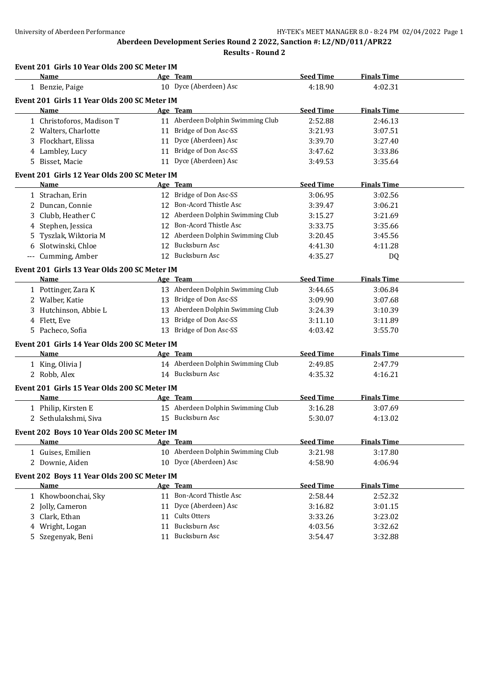**Aberdeen Development Series Round 2 2022, Sanction #: L2/ND/011/APR22**

**Results - Round 2**

|    | Event 201 Girls 10 Year Olds 200 SC Meter IM<br>Name       | Age Team                          | <b>Seed Time</b> | <b>Finals Time</b> |
|----|------------------------------------------------------------|-----------------------------------|------------------|--------------------|
|    | 1 Benzie, Paige                                            | 10 Dyce (Aberdeen) Asc            | 4:18.90          | 4:02.31            |
|    | Event 201 Girls 11 Year Olds 200 SC Meter IM               |                                   |                  |                    |
|    | Name                                                       | Age Team                          | <b>Seed Time</b> | <b>Finals Time</b> |
|    | 1 Christoforos, Madison T                                  | 11 Aberdeen Dolphin Swimming Club | 2:52.88          | 2:46.13            |
|    | 2 Walters, Charlotte                                       | 11 Bridge of Don Asc-SS           | 3:21.93          | 3:07.51            |
|    | 3 Flockhart, Elissa                                        | 11 Dyce (Aberdeen) Asc            | 3:39.70          | 3:27.40            |
|    | 4 Lambley, Lucy                                            | 11 Bridge of Don Asc-SS           | 3:47.62          | 3:33.86            |
|    | 5 Bisset, Macie                                            | 11 Dyce (Aberdeen) Asc            | 3:49.53          | 3:35.64            |
|    | Event 201 Girls 12 Year Olds 200 SC Meter IM               |                                   |                  |                    |
|    | Name                                                       | Age Team                          | <b>Seed Time</b> | <b>Finals Time</b> |
|    | 1 Strachan, Erin                                           | 12 Bridge of Don Asc-SS           | 3:06.95          | 3:02.56            |
|    | 2 Duncan, Connie                                           | 12 Bon-Acord Thistle Asc          | 3:39.47          | 3:06.21            |
|    | 3 Clubb, Heather C                                         | 12 Aberdeen Dolphin Swimming Club | 3:15.27          | 3:21.69            |
| 4  | Stephen, Jessica                                           | 12 Bon-Acord Thistle Asc          | 3:33.75          | 3:35.66            |
| 5. | Tyszlak, Wiktoria M                                        | 12 Aberdeen Dolphin Swimming Club | 3:20.45          | 3:45.56            |
| 6  | Slotwinski, Chloe                                          | 12 Bucksburn Asc                  | 4:41.30          | 4:11.28            |
|    | --- Cumming, Amber                                         | 12 Bucksburn Asc                  | 4:35.27          | DQ                 |
|    |                                                            |                                   |                  |                    |
|    | Event 201 Girls 13 Year Olds 200 SC Meter IM               |                                   |                  |                    |
|    | Name                                                       | Age Team                          | <b>Seed Time</b> | <b>Finals Time</b> |
|    | 1 Pottinger, Zara K                                        | 13 Aberdeen Dolphin Swimming Club | 3:44.65          | 3:06.84            |
|    | 2 Walber, Katie                                            | 13 Bridge of Don Asc-SS           | 3:09.90          | 3:07.68            |
|    | 3 Hutchinson, Abbie L                                      | 13 Aberdeen Dolphin Swimming Club | 3:24.39          | 3:10.39            |
|    | 4 Flett, Eve                                               | 13 Bridge of Don Asc-SS           | 3:11.10          | 3:11.89            |
|    | 5 Pacheco, Sofia                                           | 13 Bridge of Don Asc-SS           | 4:03.42          | 3:55.70            |
|    | Event 201 Girls 14 Year Olds 200 SC Meter IM               |                                   |                  |                    |
|    | Name                                                       | Age Team                          | <b>Seed Time</b> | <b>Finals Time</b> |
|    | 1 King, Olivia J                                           | 14 Aberdeen Dolphin Swimming Club | 2:49.85          | 2:47.79            |
|    | 2 Robb, Alex                                               | 14 Bucksburn Asc                  | 4:35.32          | 4:16.21            |
|    | Event 201 Girls 15 Year Olds 200 SC Meter IM               |                                   |                  |                    |
|    | Name                                                       | Age Team                          | <b>Seed Time</b> | <b>Finals Time</b> |
|    | 1 Philip, Kirsten E                                        | 15 Aberdeen Dolphin Swimming Club | 3:16.28          | 3:07.69            |
|    | 2 Sethulakshmi, Siva                                       | 15 Bucksburn Asc                  | 5:30.07          | 4:13.02            |
|    | Event 202 Boys 10 Year Olds 200 SC Meter IM                |                                   |                  |                    |
|    | <u>Name</u>                                                | Age Team                          | <b>Seed Time</b> | <b>Finals Time</b> |
|    | 1 Guises, Emilien                                          | 10 Aberdeen Dolphin Swimming Club | 3:21.98          | 3:17.80            |
|    | 2 Downie, Aiden                                            | 10 Dyce (Aberdeen) Asc            | 4:58.90          | 4:06.94            |
|    |                                                            |                                   |                  |                    |
|    | Event 202 Boys 11 Year Olds 200 SC Meter IM<br><b>Name</b> | Age Team                          | <b>Seed Time</b> | <b>Finals Time</b> |
|    |                                                            | 11 Bon-Acord Thistle Asc          | 2:58.44          | 2:52.32            |
|    | 1 Khowboonchai, Sky                                        |                                   |                  |                    |
| 2  | Jolly, Cameron                                             | 11 Dyce (Aberdeen) Asc            | 3:16.82          | 3:01.15            |
| 3  | Clark, Ethan                                               | 11 Cults Otters                   | 3:33.26          | 3:23.02            |
| 4  | Wright, Logan                                              | 11 Bucksburn Asc                  | 4:03.56          | 3:32.62            |
|    | 5 Szegenyak, Beni                                          | 11 Bucksburn Asc                  | 3:54.47          | 3:32.88            |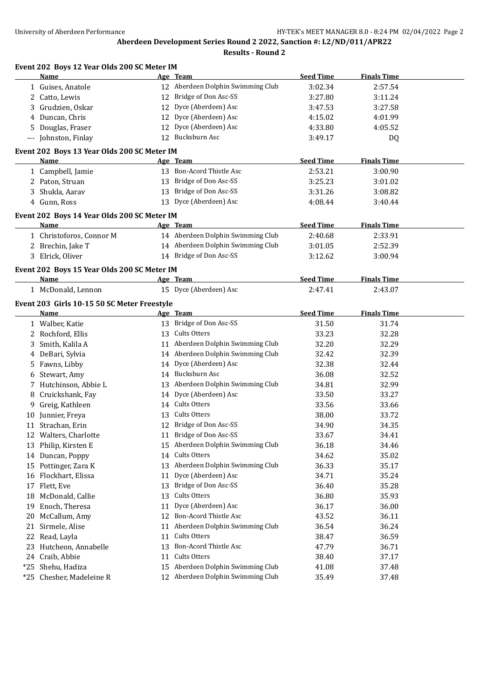|     | Event 202 Boys 12 Year Olds 200 SC Meter IM         |    |                                   |                  |                    |  |
|-----|-----------------------------------------------------|----|-----------------------------------|------------------|--------------------|--|
|     | Name                                                |    | Age Team                          | <b>Seed Time</b> | <b>Finals Time</b> |  |
|     | 1 Guises, Anatole                                   |    | 12 Aberdeen Dolphin Swimming Club | 3:02.34          | 2:57.54            |  |
|     | 2 Catto, Lewis                                      |    | 12 Bridge of Don Asc-SS           | 3:27.80          | 3:11.24            |  |
|     | 3 Grudzien, Oskar                                   |    | 12 Dyce (Aberdeen) Asc            | 3:47.53          | 3:27.58            |  |
| 4   | Duncan, Chris                                       |    | 12 Dyce (Aberdeen) Asc            | 4:15.02          | 4:01.99            |  |
| 5   | Douglas, Fraser                                     |    | 12 Dyce (Aberdeen) Asc            | 4:33.80          | 4:05.52            |  |
|     | --- Johnston, Finlay                                |    | 12 Bucksburn Asc                  | 3:49.17          | DQ                 |  |
|     | Event 202 Boys 13 Year Olds 200 SC Meter IM         |    |                                   |                  |                    |  |
|     | Name                                                |    | Age Team                          | <b>Seed Time</b> | <b>Finals Time</b> |  |
|     | 1 Campbell, Jamie                                   |    | 13 Bon-Acord Thistle Asc          | 2:53.21          | 3:00.90            |  |
|     | 2 Paton, Struan                                     |    | 13 Bridge of Don Asc-SS           | 3:25.23          | 3:01.02            |  |
|     | Shukla, Aarav                                       |    | 13 Bridge of Don Asc-SS           | 3:31.26          | 3:08.82            |  |
|     | 4 Gunn, Ross                                        |    | 13 Dyce (Aberdeen) Asc            | 4:08.44          | 3:40.44            |  |
|     |                                                     |    |                                   |                  |                    |  |
|     | Event 202 Boys 14 Year Olds 200 SC Meter IM<br>Name |    | Age Team                          | <b>Seed Time</b> | <b>Finals Time</b> |  |
|     | 1 Christoforos, Connor M                            |    | 14 Aberdeen Dolphin Swimming Club | 2:40.68          | 2:33.91            |  |
|     | 2 Brechin, Jake T                                   |    | 14 Aberdeen Dolphin Swimming Club |                  | 2:52.39            |  |
|     | 3 Elrick, Oliver                                    |    | 14 Bridge of Don Asc-SS           | 3:01.05          | 3:00.94            |  |
|     |                                                     |    |                                   | 3:12.62          |                    |  |
|     | Event 202 Boys 15 Year Olds 200 SC Meter IM         |    |                                   |                  |                    |  |
|     | Name                                                |    | Age Team                          | <b>Seed Time</b> | <b>Finals Time</b> |  |
|     | 1 McDonald, Lennon                                  |    | 15 Dyce (Aberdeen) Asc            | 2:47.41          | 2:43.07            |  |
|     | Event 203 Girls 10-15 50 SC Meter Freestyle         |    |                                   |                  |                    |  |
|     | Name                                                |    | Age Team                          | <b>Seed Time</b> | <b>Finals Time</b> |  |
|     | 1 Walber, Katie                                     |    | 13 Bridge of Don Asc-SS           | 31.50            | 31.74              |  |
|     | 2 Rochford, Ellis                                   |    | 13 Cults Otters                   | 33.23            | 32.28              |  |
| 3   | Smith, Kalila A                                     |    | 11 Aberdeen Dolphin Swimming Club | 32.20            | 32.29              |  |
| 4   | DeBari, Sylvia                                      |    | 14 Aberdeen Dolphin Swimming Club | 32.42            | 32.39              |  |
| 5   | Fawns, Libby                                        |    | 14 Dyce (Aberdeen) Asc            | 32.38            | 32.44              |  |
| 6   | Stewart, Amy                                        |    | 14 Bucksburn Asc                  | 36.08            | 32.52              |  |
|     | 7 Hutchinson, Abbie L                               |    | 13 Aberdeen Dolphin Swimming Club | 34.81            | 32.99              |  |
| 8   | Cruickshank, Fay                                    |    | 14 Dyce (Aberdeen) Asc            | 33.50            | 33.27              |  |
| 9   | Greig, Kathleen                                     |    | 14 Cults Otters                   | 33.56            | 33.66              |  |
|     | 10 Junnier, Freya                                   |    | 13 Cults Otters                   | 38.00            | 33.72              |  |
|     | 11 Strachan, Erin                                   |    | 12 Bridge of Don Asc-SS           | 34.90            | 34.35              |  |
|     | 12 Walters, Charlotte                               |    | 11 Bridge of Don Asc-SS           | 33.67            | 34.41              |  |
| 13  | Philip, Kirsten E                                   | 15 | Aberdeen Dolphin Swimming Club    | 36.18            | 34.46              |  |
|     | 14 Duncan, Poppy                                    |    | 14 Cults Otters                   | 34.62            | 35.02              |  |
| 15  | Pottinger, Zara K                                   | 13 | Aberdeen Dolphin Swimming Club    | 36.33            | 35.17              |  |
| 16  | Flockhart, Elissa                                   | 11 | Dyce (Aberdeen) Asc               | 34.71            | 35.24              |  |
| 17  | Flett, Eve                                          | 13 | Bridge of Don Asc-SS              | 36.40            | 35.28              |  |
| 18  | McDonald, Callie                                    | 13 | Cults Otters                      | 36.80            | 35.93              |  |
| 19  | Enoch, Theresa                                      | 11 | Dyce (Aberdeen) Asc               | 36.17            | 36.00              |  |
| 20  | McCallum, Amy                                       | 12 | Bon-Acord Thistle Asc             | 43.52            | 36.11              |  |
| 21  | Sirmele, Alise                                      | 11 | Aberdeen Dolphin Swimming Club    | 36.54            | 36.24              |  |
| 22  | Read, Layla                                         | 11 | Cults Otters                      | 38.47            | 36.59              |  |
| 23  | Hutcheon, Annabelle                                 | 13 | Bon-Acord Thistle Asc             | 47.79            | 36.71              |  |
|     | 24 Craib, Abbie                                     | 11 | Cults Otters                      | 38.40            | 37.17              |  |
| *25 | Shehu, Hadiza                                       | 15 | Aberdeen Dolphin Swimming Club    | 41.08            | 37.48              |  |
|     | *25 Chesher, Madeleine R                            |    | 12 Aberdeen Dolphin Swimming Club | 35.49            | 37.48              |  |
|     |                                                     |    |                                   |                  |                    |  |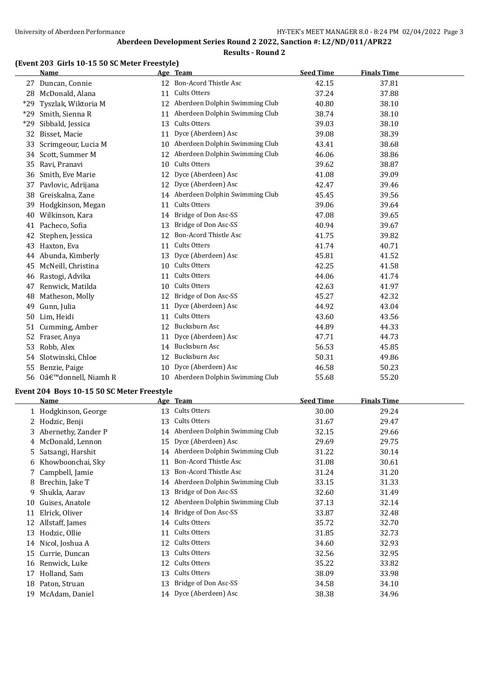#### **(Event 203 Girls 10-15 50 SC Meter Freestyle)**

|       | <b>Name</b>         |                 | Age Team                          | <b>Seed Time</b> | <b>Finals Time</b> |  |
|-------|---------------------|-----------------|-----------------------------------|------------------|--------------------|--|
|       | 27 Duncan, Connie   |                 | 12 Bon-Acord Thistle Asc          | 42.15            | 37.81              |  |
|       | 28 McDonald, Alana  | 11              | <b>Cults Otters</b>               | 37.24            | 37.88              |  |
| $*29$ | Tyszlak, Wiktoria M | 12              | Aberdeen Dolphin Swimming Club    | 40.80            | 38.10              |  |
| $*29$ | Smith, Sienna R     | 11              | Aberdeen Dolphin Swimming Club    | 38.74            | 38.10              |  |
| *29   | Sibbald, Jessica    | 13              | Cults Otters                      | 39.03            | 38.10              |  |
| 32    | Bisset, Macie       | 11              | Dyce (Aberdeen) Asc               | 39.08            | 38.39              |  |
| 33    | Scrimgeour, Lucia M | 10              | Aberdeen Dolphin Swimming Club    | 43.41            | 38.68              |  |
| 34    | Scott, Summer M     | 12              | Aberdeen Dolphin Swimming Club    | 46.06            | 38.86              |  |
| 35    | Ravi, Pranavi       | 10              | <b>Cults Otters</b>               | 39.62            | 38.87              |  |
| 36    | Smith, Eve Marie    | 12              | Dyce (Aberdeen) Asc               | 41.08            | 39.09              |  |
| 37    | Pavlovic, Adrijana  | 12              | Dyce (Aberdeen) Asc               | 42.47            | 39.46              |  |
| 38    | Greiskalna, Zane    |                 | 14 Aberdeen Dolphin Swimming Club | 45.45            | 39.56              |  |
| 39    | Hodgkinson, Megan   | 11              | Cults Otters                      | 39.06            | 39.64              |  |
| 40    | Wilkinson, Kara     | 14              | Bridge of Don Asc-SS              | 47.08            | 39.65              |  |
|       | 41 Pacheco, Sofia   | 13              | Bridge of Don Asc-SS              | 40.94            | 39.67              |  |
| 42    | Stephen, Jessica    | 12              | <b>Bon-Acord Thistle Asc</b>      | 41.75            | 39.82              |  |
| 43    | Haxton, Eva         | 11              | Cults Otters                      | 41.74            | 40.71              |  |
|       | 44 Abunda, Kimberly | 13              | Dyce (Aberdeen) Asc               | 45.81            | 41.52              |  |
| 45    | McNeill, Christina  | 10              | Cults Otters                      | 42.25            | 41.58              |  |
| 46    | Rastogi, Advika     | 11              | Cults Otters                      | 44.06            | 41.74              |  |
| 47    | Renwick, Matilda    | 10              | Cults Otters                      | 42.63            | 41.97              |  |
| 48    | Matheson, Molly     | 12              | Bridge of Don Asc-SS              | 45.27            | 42.32              |  |
| 49    | Gunn, Julia         | 11              | Dyce (Aberdeen) Asc               | 44.92            | 43.04              |  |
| 50    | Lim, Heidi          | 11              | Cults Otters                      | 43.60            | 43.56              |  |
| 51    | Cumming, Amber      | 12              | Bucksburn Asc                     | 44.89            | 44.33              |  |
| 52    | Fraser, Anya        | 11              | Dyce (Aberdeen) Asc               | 47.71            | 44.73              |  |
| 53    | Robb, Alex          | 14              | Bucksburn Asc                     | 56.53            | 45.85              |  |
| 54    | Slotwinski, Chloe   | 12              | Bucksburn Asc                     | 50.31            | 49.86              |  |
|       | 55 Benzie, Paige    | 10 <sup>1</sup> | Dyce (Aberdeen) Asc               | 46.58            | 50.23              |  |
| 56    | O'donnell, Niamh R  |                 | 10 Aberdeen Dolphin Swimming Club | 55.68            | 55.20              |  |

#### **Event 204 Boys 10-15 50 SC Meter Freestyle**

| Name              |                                                                         |                                | <b>Seed Time</b>                                                  | <b>Finals Time</b> |
|-------------------|-------------------------------------------------------------------------|--------------------------------|-------------------------------------------------------------------|--------------------|
|                   | 13                                                                      | Cults Otters                   | 30.00                                                             | 29.24              |
| Hodzic, Benji     | 13                                                                      | Cults Otters                   | 31.67                                                             | 29.47              |
|                   | 14                                                                      | Aberdeen Dolphin Swimming Club | 32.15                                                             | 29.66              |
| McDonald, Lennon  | 15                                                                      | Dyce (Aberdeen) Asc            | 29.69                                                             | 29.75              |
| Satsangi, Harshit | 14                                                                      | Aberdeen Dolphin Swimming Club | 31.22                                                             | 30.14              |
| Khowboonchai, Sky | 11                                                                      | Bon-Acord Thistle Asc          | 31.08                                                             | 30.61              |
|                   | 13                                                                      | Bon-Acord Thistle Asc          | 31.24                                                             | 31.20              |
| Brechin, Jake T   | 14                                                                      |                                | 33.15                                                             | 31.33              |
| Shukla, Aarav     | 13                                                                      | Bridge of Don Asc-SS           | 32.60                                                             | 31.49              |
| Guises, Anatole   | 12                                                                      | Aberdeen Dolphin Swimming Club | 37.13                                                             | 32.14              |
| Elrick, Oliver    | 14                                                                      | Bridge of Don Asc-SS           | 33.87                                                             | 32.48              |
| Allstaff, James   | 14                                                                      | Cults Otters                   | 35.72                                                             | 32.70              |
| Hodzic, Ollie     | 11                                                                      | Cults Otters                   | 31.85                                                             | 32.73              |
| Nicol, Joshua A   | 12                                                                      | Cults Otters                   | 34.60                                                             | 32.93              |
| Currie, Duncan    | 13                                                                      | Cults Otters                   | 32.56                                                             | 32.95              |
| Renwick, Luke     | 12                                                                      | Cults Otters                   | 35.22                                                             | 33.82              |
| Holland, Sam      | 13                                                                      | Cults Otters                   | 38.09                                                             | 33.98              |
| Paton, Struan     | 13                                                                      | Bridge of Don Asc-SS           | 34.58                                                             | 34.10              |
| McAdam, Daniel    | 14                                                                      |                                | 38.38                                                             | 34.96              |
| 6                 | 1 Hodgkinson, George<br>3 Abernethy, Zander P<br>4<br>7 Campbell, Jamie |                                | Age Team<br>Aberdeen Dolphin Swimming Club<br>Dyce (Aberdeen) Asc |                    |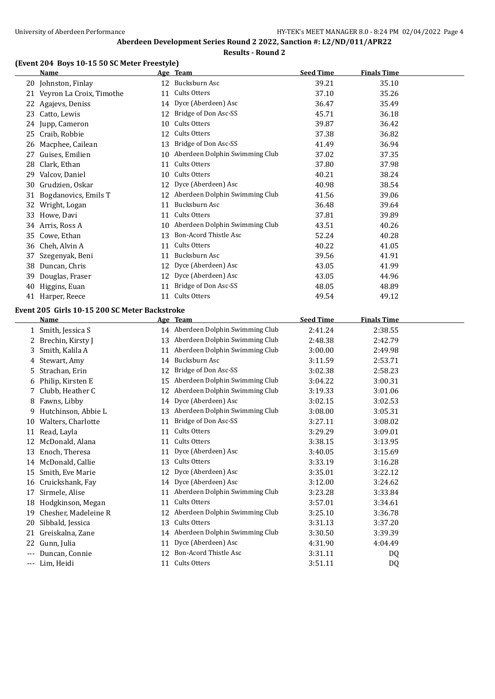#### **(Event 204 Boys 10-15 50 SC Meter Freestyle)**

|          | <b>Name</b>                                   |    | Age Team                                                    | <b>Seed Time</b> | <b>Finals Time</b> |  |
|----------|-----------------------------------------------|----|-------------------------------------------------------------|------------------|--------------------|--|
|          | 20 Johnston, Finlay                           |    | 12 Bucksburn Asc                                            | 39.21            | 35.10              |  |
|          | 21 Veyron La Croix, Timothe                   | 11 | Cults Otters                                                | 37.10            | 35.26              |  |
|          | 22 Agajevs, Deniss                            |    | 14 Dyce (Aberdeen) Asc                                      | 36.47            | 35.49              |  |
|          | 23 Catto, Lewis                               |    | 12 Bridge of Don Asc-SS                                     | 45.71            | 36.18              |  |
|          | 24 Jupp, Cameron                              | 10 | Cults Otters                                                | 39.87            | 36.42              |  |
|          | 25 Craib, Robbie                              |    | 12 Cults Otters                                             | 37.38            | 36.82              |  |
|          | 26 Macphee, Cailean                           |    | 13 Bridge of Don Asc-SS                                     | 41.49            | 36.94              |  |
|          | 27 Guises, Emilien                            |    | 10 Aberdeen Dolphin Swimming Club                           | 37.02            | 37.35              |  |
| 28       | Clark, Ethan                                  | 11 | Cults Otters                                                | 37.80            | 37.98              |  |
|          | 29 Valcov, Daniel                             | 10 | Cults Otters                                                | 40.21            | 38.24              |  |
| 30       | Grudzien, Oskar                               | 12 | Dyce (Aberdeen) Asc                                         | 40.98            | 38.54              |  |
| 31       | Bogdanovics, Emils T                          |    | 12 Aberdeen Dolphin Swimming Club                           | 41.56            | 39.06              |  |
| 32       | Wright, Logan                                 | 11 | Bucksburn Asc                                               | 36.48            | 39.64              |  |
|          | 33 Howe, Davi                                 | 11 | Cults Otters                                                | 37.81            | 39.89              |  |
|          | 34 Arris, Ross A                              |    | 10 Aberdeen Dolphin Swimming Club                           | 43.51            | 40.26              |  |
|          | 35 Cowe, Ethan                                | 13 | <b>Bon-Acord Thistle Asc</b>                                | 52.24            | 40.28              |  |
|          | 36 Cheh, Alvin A                              | 11 | Cults Otters                                                | 40.22            | 41.05              |  |
| 37       | Szegenyak, Beni                               | 11 | Bucksburn Asc                                               | 39.56            | 41.91              |  |
|          | 38 Duncan, Chris                              | 12 | Dyce (Aberdeen) Asc                                         | 43.05            | 41.99              |  |
| 39       | Douglas, Fraser                               |    | 12 Dyce (Aberdeen) Asc                                      | 43.05            | 44.96              |  |
|          | 40 Higgins, Euan                              |    | 11 Bridge of Don Asc-SS                                     | 48.05            | 48.89              |  |
|          | 41 Harper, Reece                              |    | 11 Cults Otters                                             | 49.54            | 49.12              |  |
|          |                                               |    |                                                             |                  |                    |  |
|          | Event 205 Girls 10-15 200 SC Meter Backstroke |    |                                                             |                  |                    |  |
|          | <u>Name</u>                                   |    | Age Team                                                    | <b>Seed Time</b> | <b>Finals Time</b> |  |
|          | 1 Smith, Jessica S                            |    | 14 Aberdeen Dolphin Swimming Club                           | 2:41.24          | 2:38.55            |  |
|          | 2 Brechin, Kirsty J                           |    | 13 Aberdeen Dolphin Swimming Club                           | 2:48.38          | 2:42.79            |  |
| 3        | Smith, Kalila A                               |    | 11 Aberdeen Dolphin Swimming Club<br>14 Bucksburn Asc       | 3:00.00          | 2:49.98            |  |
|          | 4 Stewart, Amy                                |    |                                                             | 3:11.59          | 2:53.71            |  |
| 5        | Strachan, Erin                                |    | 12 Bridge of Don Asc-SS                                     | 3:02.38          | 2:58.23            |  |
|          | 6 Philip, Kirsten E                           |    | 15 Aberdeen Dolphin Swimming Club                           | 3:04.22          | 3:00.31            |  |
| 7        | Clubb, Heather C                              |    | 12 Aberdeen Dolphin Swimming Club                           | 3:19.33          | 3:01.06            |  |
|          | 8 Fawns, Libby                                |    | 14 Dyce (Aberdeen) Asc<br>13 Aberdeen Dolphin Swimming Club | 3:02.15          | 3:02.53            |  |
| 9        | Hutchinson, Abbie L                           |    | 11 Bridge of Don Asc-SS                                     | 3:08.00          | 3:05.31            |  |
|          | 10 Walters, Charlotte                         |    | 11 Cults Otters                                             | 3:27.11          | 3:08.02            |  |
|          | 11 Read, Layla                                |    |                                                             | 3:29.29          | 3:09.01            |  |
|          | 12 McDonald, Alana                            |    | 11 Cults Otters                                             | 3:38.15          | 3:13.95            |  |
|          | 13 Enoch, Theresa                             |    | 11 Dyce (Aberdeen) Asc                                      | 3:40.05          | 3:15.69            |  |
|          | 14 McDonald, Callie                           |    | 13 Cults Otters                                             | 3:33.19          | 3:16.28            |  |
|          | 15 Smith, Eve Marie                           |    | 12 Dyce (Aberdeen) Asc                                      | 3:35.01          | 3:22.12            |  |
|          | 16 Cruickshank, Fay                           |    | 14 Dyce (Aberdeen) Asc                                      | 3:12.00          | 3:24.62            |  |
|          | 17 Sirmele, Alise                             |    | 11 Aberdeen Dolphin Swimming Club                           | 3:23.28          | 3:33.84            |  |
|          | 18 Hodgkinson, Megan                          | 11 | Cults Otters                                                | 3:57.01          | 3:34.61            |  |
|          | 19 Chesher, Madeleine R                       |    | 12 Aberdeen Dolphin Swimming Club                           | 3:25.10          | 3:36.78            |  |
|          | 20 Sibbald, Jessica                           | 13 | Cults Otters                                                | 3:31.13          | 3:37.20            |  |
|          | 21 Greiskalna, Zane                           |    | 14 Aberdeen Dolphin Swimming Club                           | 3:30.50          | 3:39.39            |  |
|          | 22 Gunn, Julia                                | 11 | Dyce (Aberdeen) Asc                                         | 4:31.90          | 4:04.49            |  |
| $\cdots$ | Duncan, Connie                                |    | 12 Bon-Acord Thistle Asc                                    | 3:31.11          | DQ                 |  |
|          | --- Lim, Heidi                                |    | 11 Cults Otters                                             | 3:51.11          | DQ                 |  |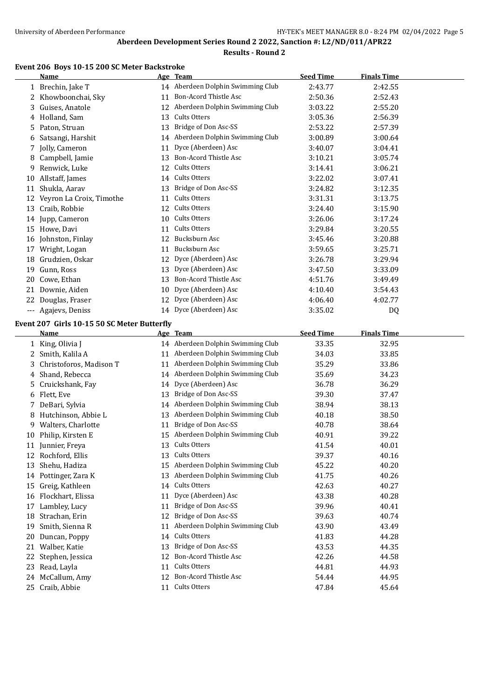# **Results - Round 2**

# **Event 206 Boys 10-15 200 SC Meter Backstroke**

|    | Name                                        |    | <u>Age Team</u>                   | <b>Seed Time</b> | <b>Finals Time</b> |  |
|----|---------------------------------------------|----|-----------------------------------|------------------|--------------------|--|
|    | 1 Brechin, Jake T                           |    | 14 Aberdeen Dolphin Swimming Club | 2:43.77          | 2:42.55            |  |
|    | 2 Khowboonchai, Sky                         |    | 11 Bon-Acord Thistle Asc          | 2:50.36          | 2:52.43            |  |
| 3  | Guises, Anatole                             |    | 12 Aberdeen Dolphin Swimming Club | 3:03.22          | 2:55.20            |  |
|    | 4 Holland, Sam                              |    | 13 Cults Otters                   | 3:05.36          | 2:56.39            |  |
| 5  | Paton, Struan                               |    | 13 Bridge of Don Asc-SS           | 2:53.22          | 2:57.39            |  |
| 6  | Satsangi, Harshit                           |    | 14 Aberdeen Dolphin Swimming Club | 3:00.89          | 3:00.64            |  |
|    | 7 Jolly, Cameron                            | 11 | Dyce (Aberdeen) Asc               | 3:40.07          | 3:04.41            |  |
| 8  | Campbell, Jamie                             |    | 13 Bon-Acord Thistle Asc          | 3:10.21          | 3:05.74            |  |
| 9  | Renwick, Luke                               |    | 12 Cults Otters                   | 3:14.41          | 3:06.21            |  |
| 10 | Allstaff, James                             |    | 14 Cults Otters                   | 3:22.02          | 3:07.41            |  |
|    | 11 Shukla, Aarav                            |    | 13 Bridge of Don Asc-SS           | 3:24.82          | 3:12.35            |  |
|    | 12 Veyron La Croix, Timothe                 | 11 | Cults Otters                      | 3:31.31          | 3:13.75            |  |
|    | 13 Craib, Robbie                            |    | 12 Cults Otters                   | 3:24.40          | 3:15.90            |  |
|    | 14 Jupp, Cameron                            |    | 10 Cults Otters                   | 3:26.06          | 3:17.24            |  |
|    | 15 Howe, Davi                               |    | 11 Cults Otters                   | 3:29.84          | 3:20.55            |  |
|    | 16 Johnston, Finlay                         |    | 12 Bucksburn Asc                  | 3:45.46          | 3:20.88            |  |
|    | 17 Wright, Logan                            | 11 | Bucksburn Asc                     | 3:59.65          | 3:25.71            |  |
|    | 18 Grudzien, Oskar                          |    | 12 Dyce (Aberdeen) Asc            | 3:26.78          | 3:29.94            |  |
| 19 | Gunn, Ross                                  |    | 13 Dyce (Aberdeen) Asc            | 3:47.50          | 3:33.09            |  |
|    | 20 Cowe, Ethan                              |    | 13 Bon-Acord Thistle Asc          | 4:51.76          | 3:49.49            |  |
| 21 | Downie, Aiden                               |    | 10 Dyce (Aberdeen) Asc            | 4:10.40          | 3:54.43            |  |
| 22 | Douglas, Fraser                             |    | 12 Dyce (Aberdeen) Asc            | 4:06.40          | 4:02.77            |  |
|    | --- Agajevs, Deniss                         |    | 14 Dyce (Aberdeen) Asc            | 3:35.02          | DQ                 |  |
|    | Event 207 Girls 10-15 50 SC Meter Butterfly |    |                                   |                  |                    |  |
|    | <b>Name</b>                                 |    | Age Team                          | <b>Seed Time</b> | <b>Finals Time</b> |  |
|    | 1 King, Olivia J                            |    | 14 Aberdeen Dolphin Swimming Club | 33.35            | 32.95              |  |
|    | 2 Smith, Kalila A                           |    | 11 Aberdeen Dolphin Swimming Club | 34.03            | 33.85              |  |
| 3  | Christoforos, Madison T                     |    | 11 Aberdeen Dolphin Swimming Club | 35.29            | 33.86              |  |
|    | 4 Shand, Rebecca                            |    |                                   |                  |                    |  |
|    |                                             |    | 14 Aberdeen Dolphin Swimming Club |                  |                    |  |
|    |                                             |    | 14 Dyce (Aberdeen) Asc            | 35.69<br>36.78   | 34.23              |  |
|    | 5 Cruickshank, Fay                          |    | 13 Bridge of Don Asc-SS           |                  | 36.29              |  |
|    | 6 Flett, Eve                                |    | 14 Aberdeen Dolphin Swimming Club | 39.30            | 37.47              |  |
| 8  | 7 DeBari, Sylvia<br>Hutchinson, Abbie L     |    | 13 Aberdeen Dolphin Swimming Club | 38.94<br>40.18   | 38.13<br>38.50     |  |
|    |                                             | 11 | Bridge of Don Asc-SS              |                  |                    |  |
|    | Walters, Charlotte                          |    | 15 Aberdeen Dolphin Swimming Club | 40.78<br>40.91   | 38.64<br>39.22     |  |
| 11 | 10 Philip, Kirsten E<br>Junnier, Freya      |    | 13 Cults Otters                   |                  | 40.01              |  |
|    | 12 Rochford, Ellis                          | 13 | Cults Otters                      | 41.54<br>39.37   | 40.16              |  |
|    | 13 Shehu, Hadiza                            |    | 15 Aberdeen Dolphin Swimming Club | 45.22            | 40.20              |  |
|    | 14 Pottinger, Zara K                        | 13 | Aberdeen Dolphin Swimming Club    | 41.75            | 40.26              |  |
|    | 15 Greig, Kathleen                          | 14 | Cults Otters                      | 42.63            | 40.27              |  |
|    | 16 Flockhart, Elissa                        | 11 | Dyce (Aberdeen) Asc               | 43.38            | 40.28              |  |
| 17 | Lambley, Lucy                               | 11 | Bridge of Don Asc-SS              | 39.96            | 40.41              |  |
| 18 | Strachan, Erin                              | 12 | Bridge of Don Asc-SS              | 39.63            | 40.74              |  |
| 19 | Smith, Sienna R                             | 11 | Aberdeen Dolphin Swimming Club    | 43.90            | 43.49              |  |
| 20 | Duncan, Poppy                               | 14 | Cults Otters                      | 41.83            | 44.28              |  |
| 21 | Walber, Katie                               | 13 | Bridge of Don Asc-SS              | 43.53            | 44.35              |  |
| 22 | Stephen, Jessica                            | 12 | Bon-Acord Thistle Asc             | 42.26            | 44.58              |  |
| 23 | Read, Layla                                 | 11 | Cults Otters                      | 44.81            | 44.93              |  |
|    | 24 McCallum, Amy                            |    | 12 Bon-Acord Thistle Asc          | 54.44            | 44.95              |  |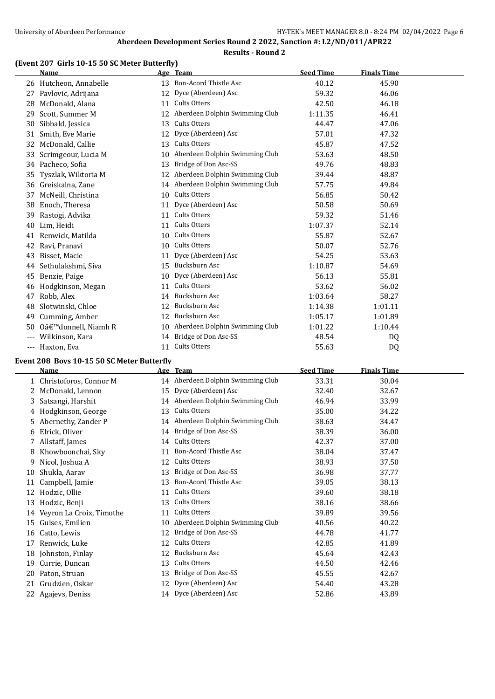#### **(Event 207 Girls 10-15 50 SC Meter Butterfly)**

|       | Name                   |    | Age Team                       | <b>Seed Time</b> | <b>Finals Time</b> |  |
|-------|------------------------|----|--------------------------------|------------------|--------------------|--|
|       | 26 Hutcheon, Annabelle | 13 | Bon-Acord Thistle Asc          | 40.12            | 45.90              |  |
| 27    | Pavlovic, Adrijana     | 12 | Dyce (Aberdeen) Asc            | 59.32            | 46.06              |  |
| 28    | McDonald, Alana        | 11 | Cults Otters                   | 42.50            | 46.18              |  |
| 29    | Scott, Summer M        | 12 | Aberdeen Dolphin Swimming Club | 1:11.35          | 46.41              |  |
| 30    | Sibbald, Jessica       | 13 | Cults Otters                   | 44.47            | 47.06              |  |
| 31    | Smith, Eve Marie       | 12 | Dyce (Aberdeen) Asc            | 57.01            | 47.32              |  |
| 32    | McDonald, Callie       | 13 | Cults Otters                   | 45.87            | 47.52              |  |
| 33    | Scrimgeour, Lucia M    | 10 | Aberdeen Dolphin Swimming Club | 53.63            | 48.50              |  |
|       | 34 Pacheco, Sofia      | 13 | Bridge of Don Asc-SS           | 49.76            | 48.83              |  |
| 35    | Tyszlak, Wiktoria M    | 12 | Aberdeen Dolphin Swimming Club | 39.44            | 48.87              |  |
| 36    | Greiskalna, Zane       | 14 | Aberdeen Dolphin Swimming Club | 57.75            | 49.84              |  |
| 37    | McNeill, Christina     | 10 | Cults Otters                   | 56.85            | 50.42              |  |
| 38    | Enoch, Theresa         | 11 | Dyce (Aberdeen) Asc            | 50.58            | 50.69              |  |
| 39    | Rastogi, Advika        | 11 | Cults Otters                   | 59.32            | 51.46              |  |
| 40    | Lim, Heidi             | 11 | Cults Otters                   | 1:07.37          | 52.14              |  |
| 41    | Renwick, Matilda       | 10 | Cults Otters                   | 55.87            | 52.67              |  |
| 42    | Ravi, Pranavi          | 10 | Cults Otters                   | 50.07            | 52.76              |  |
| 43    | Bisset, Macie          | 11 | Dyce (Aberdeen) Asc            | 54.25            | 53.63              |  |
| 44    | Sethulakshmi, Siva     | 15 | Bucksburn Asc                  | 1:10.87          | 54.69              |  |
| 45    | Benzie, Paige          | 10 | Dyce (Aberdeen) Asc            | 56.13            | 55.81              |  |
| 46    | Hodgkinson, Megan      | 11 | Cults Otters                   | 53.62            | 56.02              |  |
| 47    | Robb, Alex             | 14 | Bucksburn Asc                  | 1:03.64          | 58.27              |  |
| 48    | Slotwinski, Chloe      | 12 | Bucksburn Asc                  | 1:14.38          | 1:01.11            |  |
| 49    | Cumming, Amber         | 12 | Bucksburn Asc                  | 1:05.17          | 1:01.89            |  |
| 50    | 0'donnell, Niamh R     | 10 | Aberdeen Dolphin Swimming Club | 1:01.22          | 1:10.44            |  |
| $---$ | Wilkinson, Kara        | 14 | Bridge of Don Asc-SS           | 48.54            | DQ                 |  |
| $---$ | Haxton, Eva            | 11 | <b>Cults Otters</b>            | 55.63            | D <sub>0</sub>     |  |

#### **Event 208 Boys 10-15 50 SC Meter Butterfly**

|    | Name                     |    | Age Team                          | <b>Seed Time</b> | <b>Finals Time</b> |  |
|----|--------------------------|----|-----------------------------------|------------------|--------------------|--|
|    | 1 Christoforos, Connor M |    | 14 Aberdeen Dolphin Swimming Club | 33.31            | 30.04              |  |
|    | 2 McDonald, Lennon       | 15 | Dyce (Aberdeen) Asc               | 32.40            | 32.67              |  |
| 3  | Satsangi, Harshit        | 14 | Aberdeen Dolphin Swimming Club    | 46.94            | 33.99              |  |
| 4  | Hodgkinson, George       | 13 | Cults Otters                      | 35.00            | 34.22              |  |
| 5. | Abernethy, Zander P      | 14 | Aberdeen Dolphin Swimming Club    | 38.63            | 34.47              |  |
| 6  | Elrick, Oliver           | 14 | Bridge of Don Asc-SS              | 38.39            | 36.00              |  |
|    | Allstaff, James          | 14 | Cults Otters                      | 42.37            | 37.00              |  |
| 8  | Khowboonchai, Sky        | 11 | Bon-Acord Thistle Asc             | 38.04            | 37.47              |  |
| 9  | Nicol, Joshua A          | 12 | Cults Otters                      | 38.93            | 37.50              |  |
| 10 | Shukla, Aarav            | 13 | Bridge of Don Asc-SS              | 36.98            | 37.77              |  |
| 11 | Campbell, Jamie          | 13 | Bon-Acord Thistle Asc             | 39.05            | 38.13              |  |
| 12 | Hodzic, Ollie            | 11 | Cults Otters                      | 39.60            | 38.18              |  |
| 13 | Hodzic, Benji            | 13 | Cults Otters                      | 38.16            | 38.66              |  |
| 14 | Veyron La Croix, Timothe | 11 | Cults Otters                      | 39.89            | 39.56              |  |
| 15 | Guises, Emilien          | 10 | Aberdeen Dolphin Swimming Club    | 40.56            | 40.22              |  |
| 16 | Catto, Lewis             | 12 | Bridge of Don Asc-SS              | 44.78            | 41.77              |  |
| 17 | Renwick, Luke            | 12 | Cults Otters                      | 42.85            | 41.89              |  |
| 18 | Johnston, Finlay         | 12 | Bucksburn Asc                     | 45.64            | 42.43              |  |
| 19 | Currie, Duncan           | 13 | Cults Otters                      | 44.50            | 42.46              |  |
| 20 | Paton, Struan            | 13 | Bridge of Don Asc-SS              | 45.55            | 42.67              |  |
| 21 | Grudzien, Oskar          | 12 | Dyce (Aberdeen) Asc               | 54.40            | 43.28              |  |
| 22 | Agajevs, Deniss          |    | 14 Dyce (Aberdeen) Asc            | 52.86            | 43.89              |  |
|    |                          |    |                                   |                  |                    |  |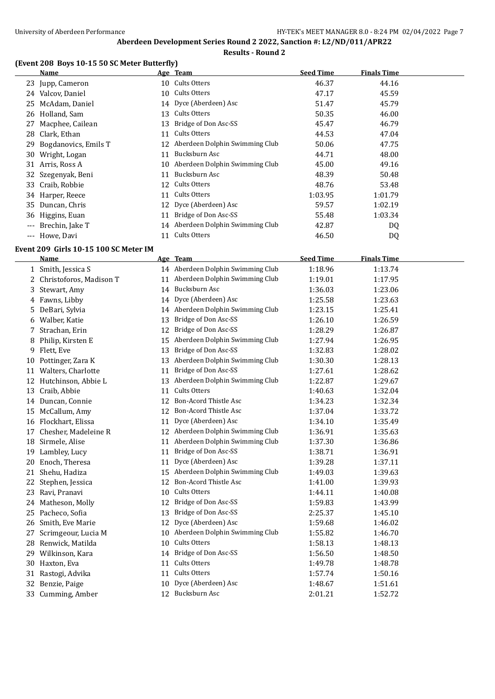#### **(Event 208 Boys 10-15 50 SC Meter Butterfly)**

|       | Name                 |    | Age Team                          | <b>Seed Time</b> | <b>Finals Time</b> |  |
|-------|----------------------|----|-----------------------------------|------------------|--------------------|--|
|       | 23 Jupp, Cameron     |    | 10 Cults Otters                   | 46.37            | 44.16              |  |
| 24    | Valcov, Daniel       |    | 10 Cults Otters                   | 47.17            | 45.59              |  |
|       | 25 McAdam, Daniel    |    | 14 Dyce (Aberdeen) Asc            | 51.47            | 45.79              |  |
|       | 26 Holland, Sam      |    | 13 Cults Otters                   | 50.35            | 46.00              |  |
| 27    | Macphee, Cailean     | 13 | Bridge of Don Asc-SS              | 45.47            | 46.79              |  |
| 28    | Clark, Ethan         | 11 | Cults Otters                      | 44.53            | 47.04              |  |
| 29    | Bogdanovics, Emils T |    | 12 Aberdeen Dolphin Swimming Club | 50.06            | 47.75              |  |
| 30    | Wright, Logan        | 11 | Bucksburn Asc                     | 44.71            | 48.00              |  |
|       | 31 Arris, Ross A     | 10 | Aberdeen Dolphin Swimming Club    | 45.00            | 49.16              |  |
|       | 32 Szegenyak, Beni   | 11 | Bucksburn Asc                     | 48.39            | 50.48              |  |
|       | 33 Craib, Robbie     |    | 12 Cults Otters                   | 48.76            | 53.48              |  |
|       | 34 Harper, Reece     | 11 | Cults Otters                      | 1:03.95          | 1:01.79            |  |
|       | 35 Duncan, Chris     |    | 12 Dyce (Aberdeen) Asc            | 59.57            | 1:02.19            |  |
| 36    | Higgins, Euan        | 11 | Bridge of Don Asc-SS              | 55.48            | 1:03.34            |  |
|       | Brechin, Jake T      |    | 14 Aberdeen Dolphin Swimming Club | 42.87            | DQ                 |  |
| $---$ | Howe, Davi           |    | 11 Cults Otters                   | 46.50            | DQ                 |  |

#### **Event 209 Girls 10-15 100 SC Meter IM**

|    | <b>Name</b>               |    | Age Team                          | <b>Seed Time</b> | <b>Finals Time</b> |
|----|---------------------------|----|-----------------------------------|------------------|--------------------|
|    | 1 Smith, Jessica S        |    | 14 Aberdeen Dolphin Swimming Club | 1:18.96          | 1:13.74            |
|    | 2 Christoforos, Madison T | 11 | Aberdeen Dolphin Swimming Club    | 1:19.01          | 1:17.95            |
| 3  | Stewart, Amy              |    | 14 Bucksburn Asc                  | 1:36.03          | 1:23.06            |
|    | 4 Fawns, Libby            | 14 | Dyce (Aberdeen) Asc               | 1:25.58          | 1:23.63            |
| 5. | DeBari, Sylvia            |    | 14 Aberdeen Dolphin Swimming Club | 1:23.15          | 1:25.41            |
| 6  | Walber, Katie             | 13 | Bridge of Don Asc-SS              | 1:26.10          | 1:26.59            |
|    | Strachan, Erin            | 12 | Bridge of Don Asc-SS              | 1:28.29          | 1:26.87            |
| 8  | Philip, Kirsten E         | 15 | Aberdeen Dolphin Swimming Club    | 1:27.94          | 1:26.95            |
| 9  | Flett, Eve                | 13 | Bridge of Don Asc-SS              | 1:32.83          | 1:28.02            |
| 10 | Pottinger, Zara K         | 13 | Aberdeen Dolphin Swimming Club    | 1:30.30          | 1:28.13            |
| 11 | Walters, Charlotte        | 11 | Bridge of Don Asc-SS              | 1:27.61          | 1:28.62            |
|    | 12 Hutchinson, Abbie L    | 13 | Aberdeen Dolphin Swimming Club    | 1:22.87          | 1:29.67            |
|    | 13 Craib, Abbie           | 11 | <b>Cults Otters</b>               | 1:40.63          | 1:32.04            |
|    | 14 Duncan, Connie         |    | 12 Bon-Acord Thistle Asc          | 1:34.23          | 1:32.34            |
| 15 | McCallum, Amy             | 12 | <b>Bon-Acord Thistle Asc</b>      | 1:37.04          | 1:33.72            |
|    | 16 Flockhart, Elissa      | 11 | Dyce (Aberdeen) Asc               | 1:34.10          | 1:35.49            |
| 17 | Chesher, Madeleine R      |    | 12 Aberdeen Dolphin Swimming Club | 1:36.91          | 1:35.63            |
| 18 | Sirmele, Alise            | 11 | Aberdeen Dolphin Swimming Club    | 1:37.30          | 1:36.86            |
| 19 | Lambley, Lucy             | 11 | Bridge of Don Asc-SS              | 1:38.71          | 1:36.91            |
| 20 | Enoch, Theresa            | 11 | Dyce (Aberdeen) Asc               | 1:39.28          | 1:37.11            |
| 21 | Shehu, Hadiza             | 15 | Aberdeen Dolphin Swimming Club    | 1:49.03          | 1:39.63            |
|    | 22 Stephen, Jessica       | 12 | <b>Bon-Acord Thistle Asc</b>      | 1:41.00          | 1:39.93            |
| 23 | Ravi, Pranavi             | 10 | Cults Otters                      | 1:44.11          | 1:40.08            |
|    | 24 Matheson, Molly        | 12 | Bridge of Don Asc-SS              | 1:59.83          | 1:43.99            |
| 25 | Pacheco, Sofia            | 13 | Bridge of Don Asc-SS              | 2:25.37          | 1:45.10            |
| 26 | Smith, Eve Marie          | 12 | Dyce (Aberdeen) Asc               | 1:59.68          | 1:46.02            |
| 27 | Scrimgeour, Lucia M       | 10 | Aberdeen Dolphin Swimming Club    | 1:55.82          | 1:46.70            |
| 28 | Renwick, Matilda          | 10 | Cults Otters                      | 1:58.13          | 1:48.13            |
| 29 | Wilkinson, Kara           | 14 | Bridge of Don Asc-SS              | 1:56.50          | 1:48.50            |
| 30 | Haxton, Eva               | 11 | Cults Otters                      | 1:49.78          | 1:48.78            |
| 31 | Rastogi, Advika           | 11 | Cults Otters                      | 1:57.74          | 1:50.16            |
| 32 | Benzie, Paige             | 10 | Dyce (Aberdeen) Asc               | 1:48.67          | 1:51.61            |
|    | 33 Cumming, Amber         |    | 12 Bucksburn Asc                  | 2:01.21          | 1:52.72            |
|    |                           |    |                                   |                  |                    |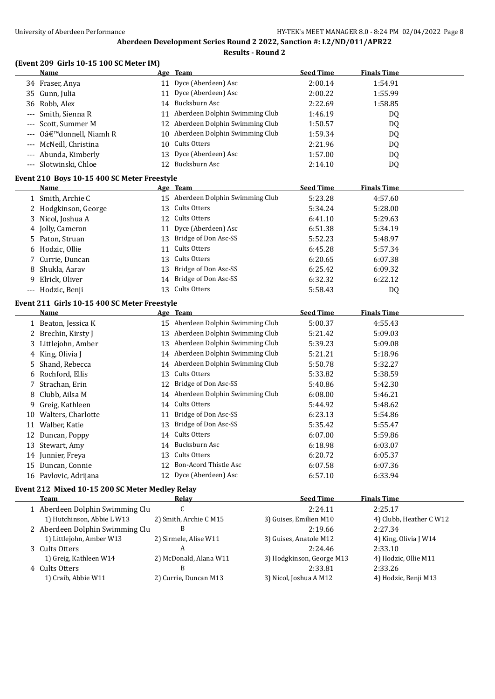# **Results - Round 2**

#### **(Event 209 Girls 10-15 100 SC Meter IM)**

|                                             | <b>Name</b>                                  |    | Age Team                          | <b>Seed Time</b> | <b>Finals Time</b> |  |
|---------------------------------------------|----------------------------------------------|----|-----------------------------------|------------------|--------------------|--|
|                                             | 34 Fraser, Anya                              |    | 11 Dyce (Aberdeen) Asc            | 2:00.14          | 1:54.91            |  |
|                                             | 35 Gunn, Julia                               |    | 11 Dyce (Aberdeen) Asc            | 2:00.22          | 1:55.99            |  |
|                                             | 36 Robb, Alex                                |    | 14 Bucksburn Asc                  | 2:22.69          | 1:58.85            |  |
| $\cdots$                                    | Smith, Sienna R                              |    | 11 Aberdeen Dolphin Swimming Club | 1:46.19          | DQ                 |  |
|                                             | Scott, Summer M                              |    | 12 Aberdeen Dolphin Swimming Club | 1:50.57          | DQ                 |  |
| $---$                                       | O'donnell, Niamh R                           |    | 10 Aberdeen Dolphin Swimming Club | 1:59.34          | DQ                 |  |
|                                             | McNeill, Christina                           | 10 | Cults Otters                      | 2:21.96          | DQ                 |  |
|                                             | Abunda, Kimberly                             | 13 | Dyce (Aberdeen) Asc               | 1:57.00          | DQ                 |  |
|                                             | --- Slotwinski, Chloe                        |    | 12 Bucksburn Asc                  | 2:14.10          | DQ                 |  |
| Event 210 Boys 10-15 400 SC Meter Freestyle |                                              |    |                                   |                  |                    |  |
|                                             | <b>Name</b>                                  |    | Age Team                          | <b>Seed Time</b> | <b>Finals Time</b> |  |
|                                             | 1 Smith, Archie C                            |    | 15 Aberdeen Dolphin Swimming Club | 5:23.28          | 4:57.60            |  |
|                                             | 2 Hodgkinson, George                         | 13 | Cults Otters                      | 5:34.24          | 5:28.00            |  |
|                                             | 3 Nicol, Joshua A                            |    | 12 Cults Otters                   | 6:41.10          | 5:29.63            |  |
|                                             | 4 Jolly, Cameron                             | 11 | Dyce (Aberdeen) Asc               | 6:51.38          | 5:34.19            |  |
|                                             | 5 Paton, Struan                              |    | 13 Bridge of Don Asc-SS           | 5:52.23          | 5:48.97            |  |
|                                             | 6 Hodzic, Ollie                              | 11 | Cults Otters                      | 6:45.28          | 5:57.34            |  |
|                                             | 7 Currie, Duncan                             |    | 13 Cults Otters                   | 6:20.65          | 6:07.38            |  |
| 8                                           | Shukla, Aarav                                | 13 | Bridge of Don Asc-SS              | 6:25.42          | 6:09.32            |  |
| 9                                           | Elrick, Oliver                               |    | 14 Bridge of Don Asc-SS           | 6:32.32          | 6:22.12            |  |
|                                             | --- Hodzic, Benji                            |    | 13 Cults Otters                   | 5:58.43          | DQ                 |  |
|                                             | Event 211 Girls 10-15 400 SC Meter Freestyle |    |                                   |                  |                    |  |
|                                             | Name                                         |    | Age Team                          | <b>Seed Time</b> | <b>Finals Time</b> |  |
|                                             | 1 Beaton, Jessica K                          |    | 15 Aberdeen Dolphin Swimming Club | 5:00.37          | 4:55.43            |  |
|                                             | 2 Brechin, Kirsty J                          |    | 13 Aberdeen Dolphin Swimming Club | 5:21.42          | 5:09.03            |  |
|                                             | 3 Littlejohn, Amber                          |    | 13 Aberdeen Dolphin Swimming Club | 5:39.23          | 5:09.08            |  |
|                                             | 4 King, Olivia J                             |    | 14 Aberdeen Dolphin Swimming Club | 5:21.21          | 5:18.96            |  |
|                                             | 5 Shand, Rebecca                             |    | 14 Aberdeen Dolphin Swimming Club | 5:50.78          | 5:32.27            |  |
| 6                                           | Rochford, Ellis                              | 13 | Cults Otters                      | 5:33.82          | 5:38.59            |  |
|                                             | 7 Strachan, Erin                             | 12 | Bridge of Don Asc-SS              | 5:40.86          | 5:42.30            |  |
| 8                                           | Clubb, Ailsa M                               |    | 14 Aberdeen Dolphin Swimming Club | 6:08.00          | 5:46.21            |  |
| 9                                           | Greig, Kathleen                              |    | 14 Cults Otters                   | 5:44.92          | 5:48.62            |  |
|                                             | 10 Walters, Charlotte                        |    | 11 Bridge of Don Asc-SS           | 6:23.13          | 5:54.86            |  |
|                                             | 11 Walber, Katie                             | 13 | Bridge of Don Asc-SS              | 5:35.42          | 5:55.47            |  |
|                                             | 12 Duncan, Poppy                             | 14 | Cults Otters                      | 6:07.00          | 5:59.86            |  |
|                                             | 13 Stewart, Amy                              | 14 | Bucksburn Asc                     | 6:18.98          | 6:03.07            |  |
|                                             | 14 Junnier, Freya                            | 13 | Cults Otters                      | 6:20.72          | 6:05.37            |  |
|                                             | 15 Duncan, Connie                            |    | 12 Bon-Acord Thistle Asc          | 6:07.58          | 6:07.36            |  |
|                                             | 16 Pavlovic, Adrijana                        |    | 12 Dyce (Aberdeen) Asc            | 6:57.10          | 6:33.94            |  |
|                                             |                                              |    |                                   |                  |                    |  |

#### **Event 212 Mixed 10-15 200 SC Meter Medley Relay**

| Team                            | Relay                  | <b>Seed Time</b>          | <b>Finals Time</b>      |
|---------------------------------|------------------------|---------------------------|-------------------------|
| 1 Aberdeen Dolphin Swimming Clu | C                      | 2:24.11                   | 2:25.17                 |
| 1) Hutchinson, Abbie L W13      | 2) Smith, Archie C M15 | 3) Guises, Emilien M10    | 4) Clubb, Heather C W12 |
| 2 Aberdeen Dolphin Swimming Clu | B                      | 2:19.66                   | 2:27.34                 |
| 1) Littlejohn, Amber W13        | 2) Sirmele, Alise W11  | 3) Guises, Anatole M12    | 4) King, Olivia J W14   |
| 3 Cults Otters                  | A                      | 2:24.46                   | 2:33.10                 |
| 1) Greig, Kathleen W14          | 2) McDonald, Alana W11 | 3) Hodgkinson, George M13 | 4) Hodzic, Ollie M11    |
| 4 Cults Otters                  | В                      | 2:33.81                   | 2:33.26                 |
| 1) Craib, Abbie W11             | 2) Currie, Duncan M13  | 3) Nicol, Joshua A M12    | 4) Hodzic, Benji M13    |
|                                 |                        |                           |                         |